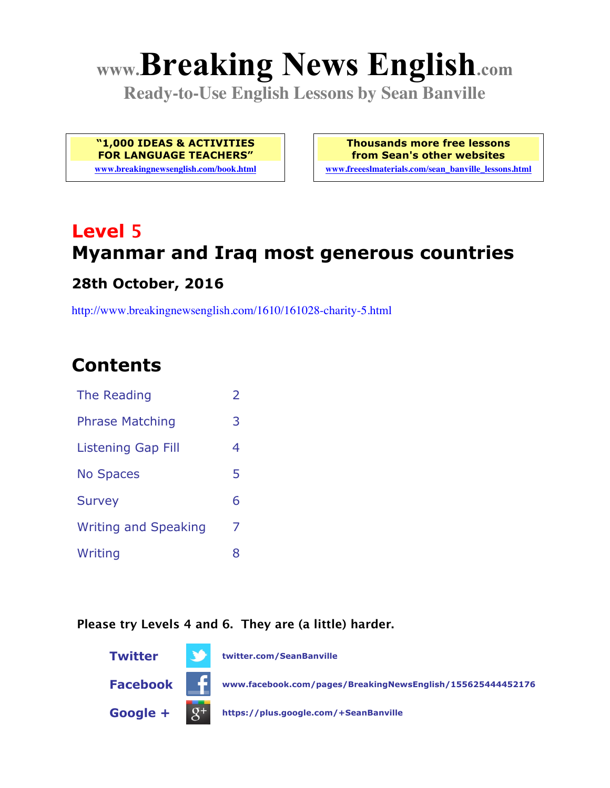# **www.Breaking News English.com**

**Ready-to-Use English Lessons by Sean Banville**

**"1,000 IDEAS & ACTIVITIES FOR LANGUAGE TEACHERS"**

**www.breakingnewsenglish.com/book.html**

**Thousands more free lessons from Sean's other websites www.freeeslmaterials.com/sean\_banville\_lessons.html**

## **Level 5 Myanmar and Iraq most generous countries**

#### **28th October, 2016**

http://www.breakingnewsenglish.com/1610/161028-charity-5.html

### **Contents**

| The Reading                 | 2 |
|-----------------------------|---|
| <b>Phrase Matching</b>      | 3 |
| <b>Listening Gap Fill</b>   | 4 |
| <b>No Spaces</b>            | 5 |
| <b>Survey</b>               | 6 |
| <b>Writing and Speaking</b> | 7 |
| Writing                     | 8 |
|                             |   |

#### **Please try Levels 4 and 6. They are (a little) harder.**

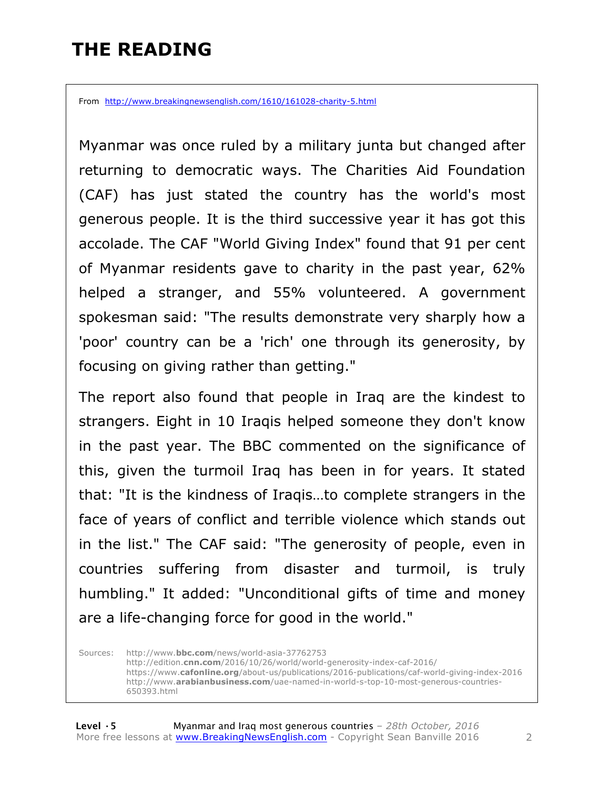### **THE READING**

From http://www.breakingnewsenglish.com/1610/161028-charity-5.html

Myanmar was once ruled by a military junta but changed after returning to democratic ways. The Charities Aid Foundation (CAF) has just stated the country has the world's most generous people. It is the third successive year it has got this accolade. The CAF "World Giving Index" found that 91 per cent of Myanmar residents gave to charity in the past year, 62% helped a stranger, and 55% volunteered. A government spokesman said: "The results demonstrate very sharply how a 'poor' country can be a 'rich' one through its generosity, by focusing on giving rather than getting."

The report also found that people in Iraq are the kindest to strangers. Eight in 10 Iraqis helped someone they don't know in the past year. The BBC commented on the significance of this, given the turmoil Iraq has been in for years. It stated that: "It is the kindness of Iraqis…to complete strangers in the face of years of conflict and terrible violence which stands out in the list." The CAF said: "The generosity of people, even in countries suffering from disaster and turmoil, is truly humbling." It added: "Unconditional gifts of time and money are a life-changing force for good in the world."

Sources: http://www.**bbc.com**/news/world-asia-37762753 http://edition.**cnn.com**/2016/10/26/world/world-generosity-index-caf-2016/ https://www.**cafonline.org**/about-us/publications/2016-publications/caf-world-giving-index-2016 http://www.**arabianbusiness.com**/uae-named-in-world-s-top-10-most-generous-countries-650393.html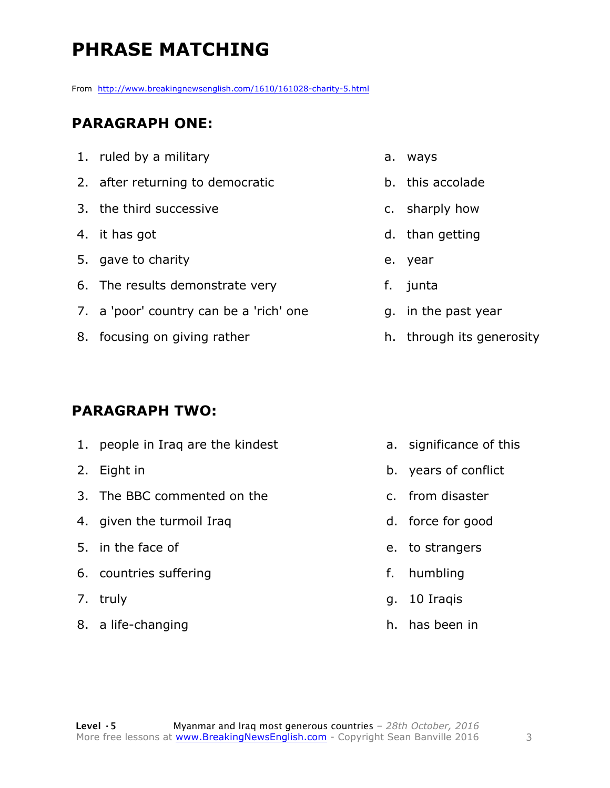### **PHRASE MATCHING**

From http://www.breakingnewsenglish.com/1610/161028-charity-5.html

#### **PARAGRAPH ONE:**

1. ruled by a military 2. after returning to democratic 3. the third successive 4. it has got 5. gave to charity 6. The results demonstrate very 7. a 'poor' country can be a 'rich' one 8. focusing on giving rather a. ways

#### **PARAGRAPH TWO:**

1. people in Iraq are the kindest 2. Eight in 3. The BBC commented on the 4. given the turmoil Iraq 5. in the face of 6. countries suffering 7. truly 8. a life-changing

- 
- b. this accolade
- c. sharply how
- d. than getting
- e. year
- f. junta
- g. in the past year
- h. through its generosity

- a. significance of this
- b. years of conflict
- c. from disaster
- d. force for good
- e. to strangers
- f. humbling
- g. 10 Iraqis
- h. has been in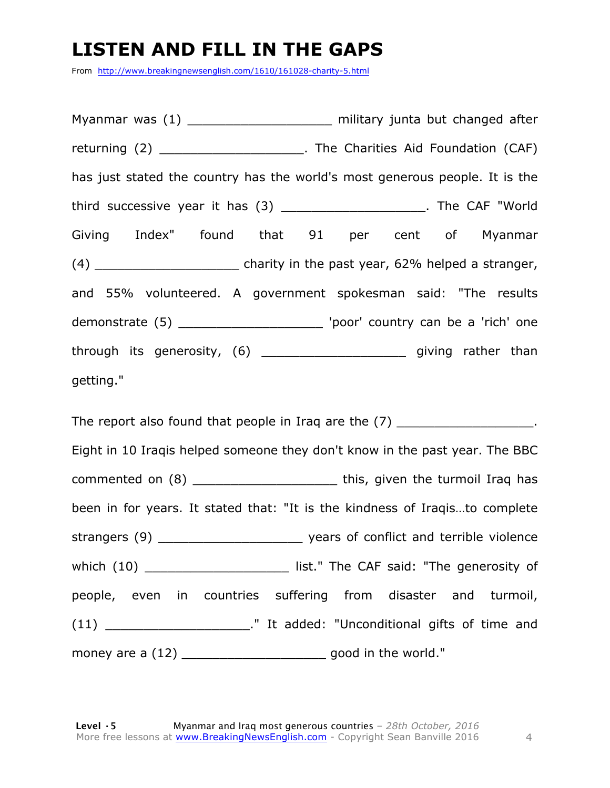### **LISTEN AND FILL IN THE GAPS**

From http://www.breakingnewsenglish.com/1610/161028-charity-5.html

Myanmar was (1) example a military junta but changed after returning (2) \_\_\_\_\_\_\_\_\_\_\_\_\_\_\_\_\_\_\_\_\_\_\_\_. The Charities Aid Foundation (CAF) has just stated the country has the world's most generous people. It is the third successive year it has (3) \_\_\_\_\_\_\_\_\_\_\_\_\_\_\_\_\_\_\_\_\_\_. The CAF "World Giving Index" found that 91 per cent of Myanmar  $(4)$  \_\_\_\_\_\_\_\_\_\_\_\_\_\_\_\_\_\_\_\_\_\_\_\_\_\_\_ charity in the past year, 62% helped a stranger, and 55% volunteered. A government spokesman said: "The results demonstrate (5) \_\_\_\_\_\_\_\_\_\_\_\_\_\_\_\_\_\_\_ 'poor' country can be a 'rich' one through its generosity, (6) \_\_\_\_\_\_\_\_\_\_\_\_\_\_\_\_\_\_\_ giving rather than getting."

The report also found that people in Iraq are the (7) The report also found that people in Iraq are the (7) Eight in 10 Iraqis helped someone they don't know in the past year. The BBC commented on (8) commented on (8) commented on  $\epsilon$  and  $\epsilon$  and  $\epsilon$  and  $\epsilon$  this, given the turmoil Iraq has been in for years. It stated that: "It is the kindness of Iraqis…to complete strangers (9) \_\_\_\_\_\_\_\_\_\_\_\_\_\_\_\_\_\_\_\_\_\_\_\_\_\_ years of conflict and terrible violence which (10) \_\_\_\_\_\_\_\_\_\_\_\_\_\_\_\_\_\_\_\_\_\_\_\_\_\_ list." The CAF said: "The generosity of people, even in countries suffering from disaster and turmoil, (11) \_\_\_\_\_\_\_\_\_\_\_\_\_\_\_\_\_\_\_." It added: "Unconditional gifts of time and money are a (12) \_\_\_\_\_\_\_\_\_\_\_\_\_\_\_\_\_\_\_\_\_\_\_\_\_\_\_\_ good in the world."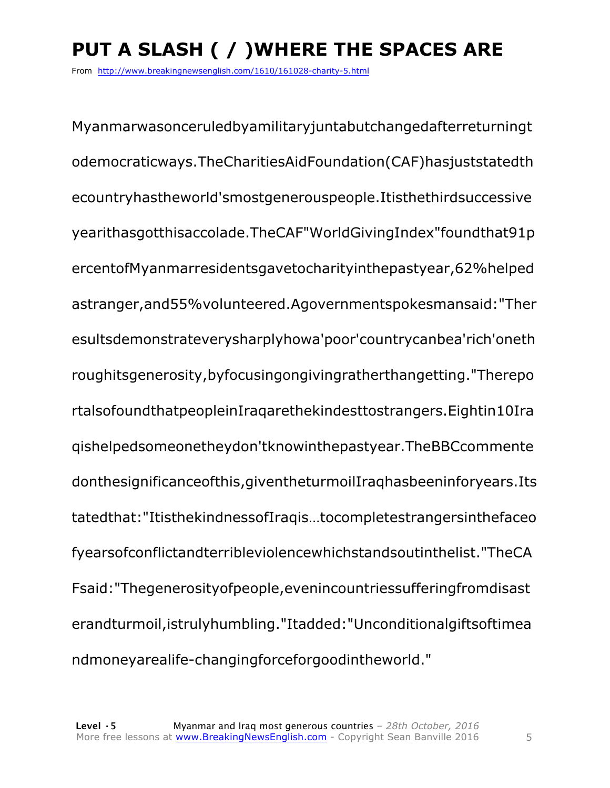### **PUT A SLASH ( / )WHERE THE SPACES ARE**

From http://www.breakingnewsenglish.com/1610/161028-charity-5.html

Myanmarwasonceruledbyamilitaryjuntabutchangedafterreturningt odemocraticways.TheCharitiesAidFoundation(CAF)hasjuststatedth ecountryhastheworld'smostgenerouspeople.Itisthethirdsuccessive yearithasgotthisaccolade.TheCAF"WorldGivingIndex"foundthat91p ercentofMyanmarresidentsgavetocharityinthepastyear,62%helped astranger,and55%volunteered.Agovernmentspokesmansaid:"Ther esultsdemonstrateverysharplyhowa'poor'countrycanbea'rich'oneth roughitsgenerosity,byfocusingongivingratherthangetting."Therepo rtalsofoundthatpeopleinIraqarethekindesttostrangers.Eightin10Ira qishelpedsomeonetheydon'tknowinthepastyear.TheBBCcommente donthesignificanceofthis,giventheturmoilIraqhasbeeninforyears.Its tatedthat:"ItisthekindnessofIraqis…tocompletestrangersinthefaceo fyearsofconflictandterribleviolencewhichstandsoutinthelist."TheCA Fsaid:"Thegenerosityofpeople,evenincountriessufferingfromdisast erandturmoil,istrulyhumbling."Itadded:"Unconditionalgiftsoftimea ndmoneyarealife-changingforceforgoodintheworld."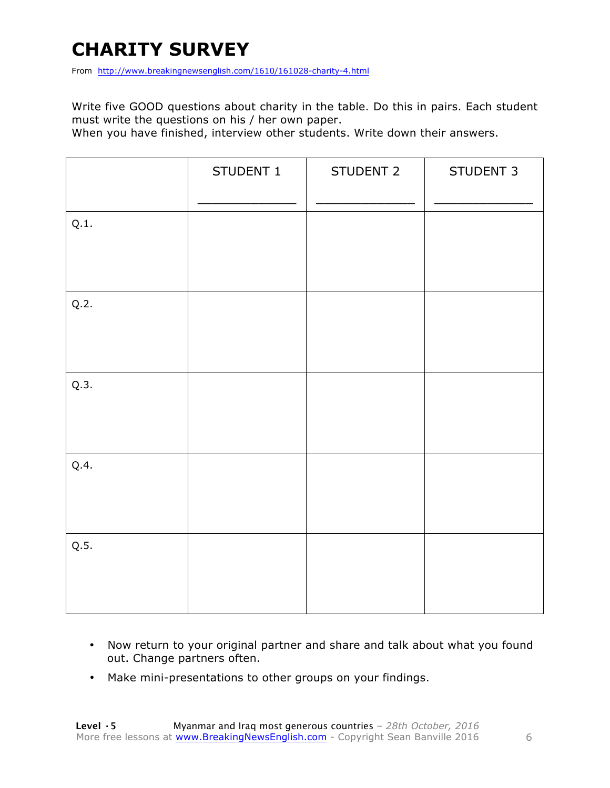### **CHARITY SURVEY**

From http://www.breakingnewsenglish.com/1610/161028-charity-4.html

Write five GOOD questions about charity in the table. Do this in pairs. Each student must write the questions on his / her own paper.

When you have finished, interview other students. Write down their answers.

|      | STUDENT 1 | STUDENT 2 | STUDENT 3 |
|------|-----------|-----------|-----------|
| Q.1. |           |           |           |
| Q.2. |           |           |           |
| Q.3. |           |           |           |
| Q.4. |           |           |           |
| Q.5. |           |           |           |

- Now return to your original partner and share and talk about what you found out. Change partners often.
- Make mini-presentations to other groups on your findings.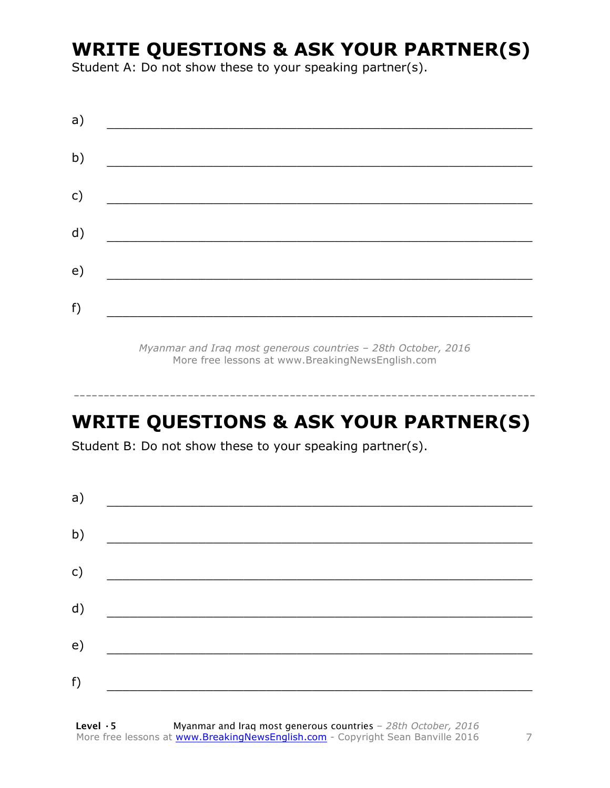### **WRITE QUESTIONS & ASK YOUR PARTNER(S)**

Student A: Do not show these to your speaking partner(s).

| a) |  |  |  |
|----|--|--|--|
| b) |  |  |  |
| c) |  |  |  |
| d) |  |  |  |
| e) |  |  |  |
| f) |  |  |  |
|    |  |  |  |

*Myanmar and Iraq most generous countries – 28th October, 2016* More free lessons at www.BreakingNewsEnglish.com

### **WRITE QUESTIONS & ASK YOUR PARTNER(S)**

-----------------------------------------------------------------------------

Student B: Do not show these to your speaking partner(s).

| a) |  |  |
|----|--|--|
| b) |  |  |
| c) |  |  |
| d) |  |  |
| e) |  |  |
|    |  |  |
| f) |  |  |